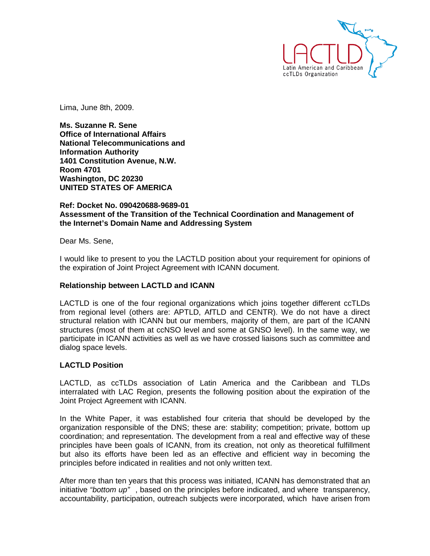

Lima, June 8th, 2009.

**Ms. Suzanne R. Sene Office of International Affairs National Telecommunications and Information Authority 1401 Constitution Avenue, N.W. Room 4701 Washington, DC 20230 UNITED STATES OF AMERICA** 

## **Ref: Docket No. 090420688-9689-01 Assessment of the Transition of the Technical Coordination and Management of the Internet's Domain Name and Addressing System**

Dear Ms. Sene,

I would like to present to you the LACTLD position about your requirement for opinions of the expiration of Joint Project Agreement with ICANN document.

## **Relationship between LACTLD and ICANN**

LACTLD is one of the four regional organizations which joins together different ccTLDs from regional level (others are: APTLD, AfTLD and CENTR). We do not have a direct structural relation with ICANN but our members, majority of them, are part of the ICANN structures (most of them at ccNSO level and some at GNSO level). In the same way, we participate in ICANN activities as well as we have crossed liaisons such as committee and dialog space levels.

## **LACTLD Position**

LACTLD, as ccTLDs association of Latin America and the Caribbean and TLDs interralated with LAC Region, presents the following position about the expiration of the Joint Project Agreement with ICANN.

In the White Paper, it was established four criteria that should be developed by the organization responsible of the DNS; these are: stability; competition; private, bottom up coordination; and representation. The development from a real and effective way of these principles have been goals of ICANN, from its creation, not only as theoretical fulfillment but also its efforts have been led as an effective and efficient way in becoming the principles before indicated in realities and not only written text.

After more than ten years that this process was initiated, ICANN has demonstrated that an initiative "bottom up", based on the principles before indicated, and where transparency, accountability, participation, outreach subjects were incorporated, which have arisen from